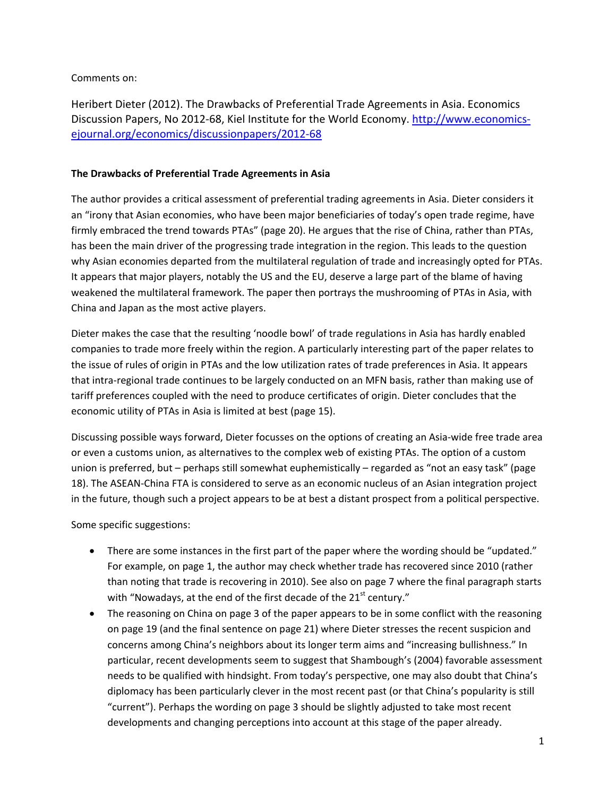Comments on:

Heribert Dieter (2012). The Drawbacks of Preferential Trade Agreements in Asia. Economics Discussion Papers, No 2012-68, Kiel Institute for the World Economy. [http://www.economics](http://www.economics-ejournal.org/economics/discussionpapers/2012-68)[ejournal.org/economics/discussionpapers/2012-68](http://www.economics-ejournal.org/economics/discussionpapers/2012-68)

## **The Drawbacks of Preferential Trade Agreements in Asia**

The author provides a critical assessment of preferential trading agreements in Asia. Dieter considers it an "irony that Asian economies, who have been major beneficiaries of today's open trade regime, have firmly embraced the trend towards PTAs" (page 20). He argues that the rise of China, rather than PTAs, has been the main driver of the progressing trade integration in the region. This leads to the question why Asian economies departed from the multilateral regulation of trade and increasingly opted for PTAs. It appears that major players, notably the US and the EU, deserve a large part of the blame of having weakened the multilateral framework. The paper then portrays the mushrooming of PTAs in Asia, with China and Japan as the most active players.

Dieter makes the case that the resulting 'noodle bowl' of trade regulations in Asia has hardly enabled companies to trade more freely within the region. A particularly interesting part of the paper relates to the issue of rules of origin in PTAs and the low utilization rates of trade preferences in Asia. It appears that intra-regional trade continues to be largely conducted on an MFN basis, rather than making use of tariff preferences coupled with the need to produce certificates of origin. Dieter concludes that the economic utility of PTAs in Asia is limited at best (page 15).

Discussing possible ways forward, Dieter focusses on the options of creating an Asia-wide free trade area or even a customs union, as alternatives to the complex web of existing PTAs. The option of a custom union is preferred, but – perhaps still somewhat euphemistically – regarded as "not an easy task" (page 18). The ASEAN-China FTA is considered to serve as an economic nucleus of an Asian integration project in the future, though such a project appears to be at best a distant prospect from a political perspective.

Some specific suggestions:

- There are some instances in the first part of the paper where the wording should be "updated." For example, on page 1, the author may check whether trade has recovered since 2010 (rather than noting that trade is recovering in 2010). See also on page 7 where the final paragraph starts with "Nowadays, at the end of the first decade of the 21<sup>st</sup> century."
- The reasoning on China on page 3 of the paper appears to be in some conflict with the reasoning on page 19 (and the final sentence on page 21) where Dieter stresses the recent suspicion and concerns among China's neighbors about its longer term aims and "increasing bullishness." In particular, recent developments seem to suggest that Shambough's (2004) favorable assessment needs to be qualified with hindsight. From today's perspective, one may also doubt that China's diplomacy has been particularly clever in the most recent past (or that China's popularity is still "current"). Perhaps the wording on page 3 should be slightly adjusted to take most recent developments and changing perceptions into account at this stage of the paper already.